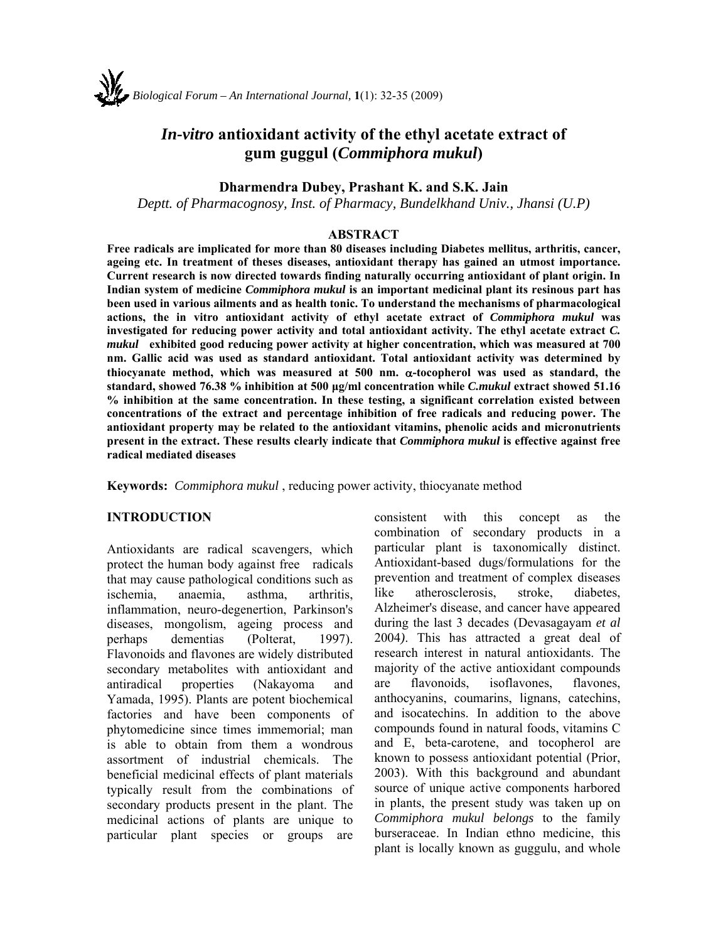# *In-vitro* **antioxidant activity of the ethyl acetate extract of gum guggul (***Commiphora mukul***)**

#### **Dharmendra Dubey, Prashant K. and S.K. Jain**

*Deptt. of Pharmacognosy, Inst. of Pharmacy, Bundelkhand Univ., Jhansi (U.P)*

#### **ABSTRACT**

**Free radicals are implicated for more than 80 diseases including Diabetes mellitus, arthritis, cancer, ageing etc. In treatment of theses diseases, antioxidant therapy has gained an utmost importance. Current research is now directed towards finding naturally occurring antioxidant of plant origin. In Indian system of medicine** *Commiphora mukul* **is an important medicinal plant its resinous part has been used in various ailments and as health tonic. To understand the mechanisms of pharmacological actions, the in vitro antioxidant activity of ethyl acetate extract of** *Commiphora mukul* **was investigated for reducing power activity and total antioxidant activity. The ethyl acetate extract** *C. mukul* **exhibited good reducing power activity at higher concentration, which was measured at 700 nm. Gallic acid was used as standard antioxidant. Total antioxidant activity was determined by**  thiocyanate method, which was measured at  $500$  nm.  $\alpha$ -tocopherol was used as standard, the **standard, showed 76.38 % inhibition at 500 μg/ml concentration while** *C.mukul* **extract showed 51.16 % inhibition at the same concentration. In these testing, a significant correlation existed between concentrations of the extract and percentage inhibition of free radicals and reducing power. The antioxidant property may be related to the antioxidant vitamins, phenolic acids and micronutrients present in the extract. These results clearly indicate that** *Commiphora mukul* **is effective against free radical mediated diseases** 

**Keywords:** *Commiphora mukul* , reducing power activity, thiocyanate method

#### **INTRODUCTION**

Antioxidants are radical scavengers, which protect the human body against free radicals that may cause pathological conditions such as ischemia, anaemia, asthma, arthritis, inflammation, neuro-degenertion, Parkinson's diseases, mongolism, ageing process and perhaps dementias (Polterat, 1997). Flavonoids and flavones are widely distributed secondary metabolites with antioxidant and antiradical properties (Nakayoma and Yamada, 1995). Plants are potent biochemical factories and have been components of phytomedicine since times immemorial; man is able to obtain from them a wondrous assortment of industrial chemicals. The beneficial medicinal effects of plant materials typically result from the combinations of secondary products present in the plant. The medicinal actions of plants are unique to particular plant species or groups are

consistent with this concept as the combination of secondary products in a particular plant is taxonomically distinct. Antioxidant-based dugs/formulations for the prevention and treatment of complex diseases like atherosclerosis, stroke, diabetes, Alzheimer's disease, and cancer have appeared during the last 3 decades (Devasagayam *et al* 2004*)*. This has attracted a great deal of research interest in natural antioxidants. The majority of the active antioxidant compounds are flavonoids, isoflavones, flavones, anthocyanins, coumarins, lignans, catechins, and isocatechins. In addition to the above compounds found in natural foods, vitamins C and E, beta-carotene, and tocopherol are known to possess antioxidant potential (Prior, 2003). With this background and abundant source of unique active components harbored in plants, the present study was taken up on *Commiphora mukul belongs* to the family burseraceae. In Indian ethno medicine, this plant is locally known as guggulu, and whole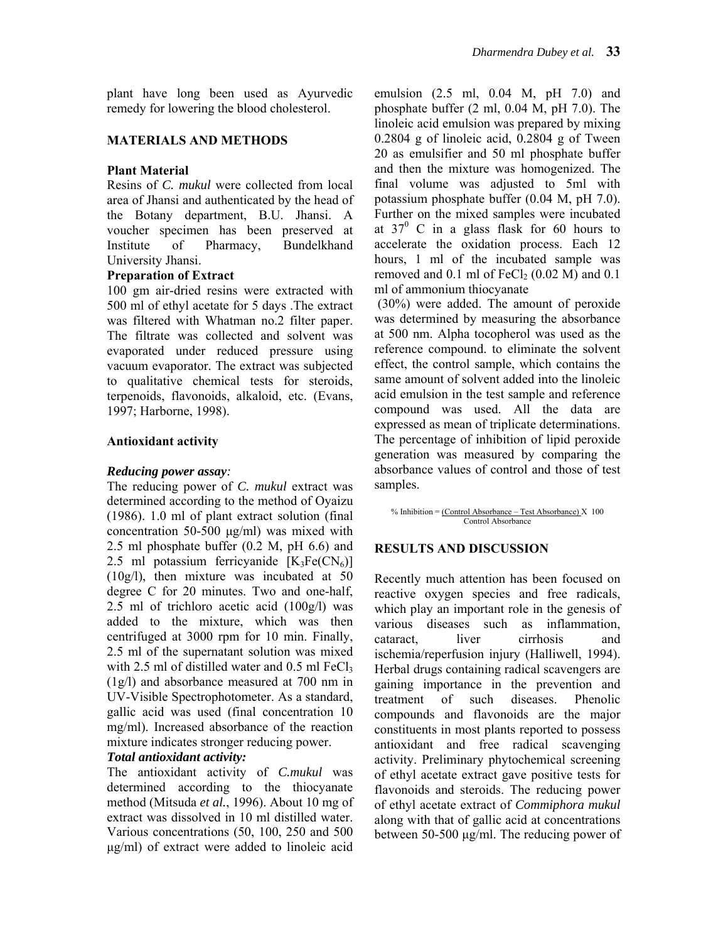plant have long been used as Ayurvedic remedy for lowering the blood cholesterol.

# **MATERIALS AND METHODS**

# **Plant Material**

Resins of *C. mukul* were collected from local area of Jhansi and authenticated by the head of the Botany department, B.U. Jhansi. A voucher specimen has been preserved at Institute of Pharmacy, Bundelkhand University Jhansi.

## **Preparation of Extract**

100 gm air-dried resins were extracted with 500 ml of ethyl acetate for 5 days .The extract was filtered with Whatman no.2 filter paper. The filtrate was collected and solvent was evaporated under reduced pressure using vacuum evaporator. The extract was subjected to qualitative chemical tests for steroids, terpenoids, flavonoids, alkaloid, etc. (Evans, 1997; Harborne, 1998).

## **Antioxidant activity**

#### *Reducing power assay:*

The reducing power of *C. mukul* extract was determined according to the method of Oyaizu (1986). 1.0 ml of plant extract solution (final concentration 50-500 μg/ml) was mixed with 2.5 ml phosphate buffer (0.2 M, pH 6.6) and 2.5 ml potassium ferricyanide  $[K_3Fe(CN_6)]$ (10g/l), then mixture was incubated at 50 degree C for 20 minutes. Two and one-half, 2.5 ml of trichloro acetic acid (100g/l) was added to the mixture, which was then centrifuged at 3000 rpm for 10 min. Finally, 2.5 ml of the supernatant solution was mixed with 2.5 ml of distilled water and  $0.5$  ml FeCl<sub>3</sub> (1g/l) and absorbance measured at 700 nm in UV-Visible Spectrophotometer. As a standard, gallic acid was used (final concentration 10 mg/ml). Increased absorbance of the reaction mixture indicates stronger reducing power. *Total antioxidant activity:* 

The antioxidant activity of *C.mukul* was determined according to the thiocyanate method (Mitsuda *et al.*, 1996). About 10 mg of extract was dissolved in 10 ml distilled water. Various concentrations (50, 100, 250 and 500 μg/ml) of extract were added to linoleic acid

emulsion (2.5 ml, 0.04 M, pH 7.0) and phosphate buffer (2 ml, 0.04 M, pH 7.0). The linoleic acid emulsion was prepared by mixing 0.2804 g of linoleic acid, 0.2804 g of Tween 20 as emulsifier and 50 ml phosphate buffer and then the mixture was homogenized. The final volume was adjusted to 5ml with potassium phosphate buffer (0.04 M, pH 7.0). Further on the mixed samples were incubated at  $37^{\circ}$  C in a glass flask for 60 hours to accelerate the oxidation process. Each 12 hours, 1 ml of the incubated sample was removed and  $0.1$  ml of FeCl<sub>2</sub> ( $0.02$  M) and  $0.1$ ml of ammonium thiocyanate

 (30%) were added. The amount of peroxide was determined by measuring the absorbance at 500 nm. Alpha tocopherol was used as the reference compound. to eliminate the solvent effect, the control sample, which contains the same amount of solvent added into the linoleic acid emulsion in the test sample and reference compound was used. All the data are expressed as mean of triplicate determinations. The percentage of inhibition of lipid peroxide generation was measured by comparing the absorbance values of control and those of test samples.

% Inhibition = (Control Absorbance – Test Absorbance) X100 Control Absorbance

## **RESULTS AND DISCUSSION**

Recently much attention has been focused on reactive oxygen species and free radicals, which play an important role in the genesis of various diseases such as inflammation, cataract, liver cirrhosis and ischemia/reperfusion injury (Halliwell, 1994). Herbal drugs containing radical scavengers are gaining importance in the prevention and treatment of such diseases. Phenolic compounds and flavonoids are the major constituents in most plants reported to possess antioxidant and free radical scavenging activity. Preliminary phytochemical screening of ethyl acetate extract gave positive tests for flavonoids and steroids. The reducing power of ethyl acetate extract of *Commiphora mukul*  along with that of gallic acid at concentrations between 50-500 μg/ml. The reducing power of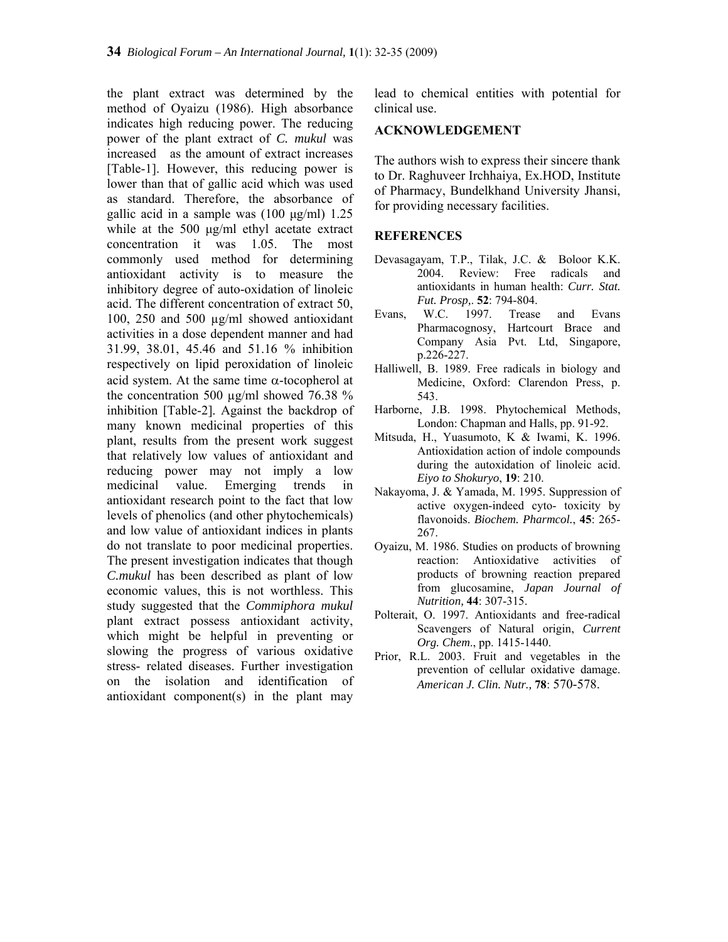the plant extract was determined by the method of Oyaizu (1986). High absorbance indicates high reducing power. The reducing power of the plant extract of *C. mukul* was increased as the amount of extract increases [Table-1]. However, this reducing power is lower than that of gallic acid which was used as standard. Therefore, the absorbance of gallic acid in a sample was (100 μg/ml) 1.25 while at the 500 μg/ml ethyl acetate extract concentration it was 1.05. The most commonly used method for determining antioxidant activity is to measure the inhibitory degree of auto-oxidation of linoleic acid. The different concentration of extract 50, 100, 250 and 500 µg/ml showed antioxidant activities in a dose dependent manner and had 31.99, 38.01, 45.46 and 51.16 % inhibition respectively on lipid peroxidation of linoleic acid system. At the same time  $\alpha$ -tocopherol at the concentration 500  $\mu$ g/ml showed 76.38 % inhibition [Table-2]. Against the backdrop of many known medicinal properties of this plant, results from the present work suggest that relatively low values of antioxidant and reducing power may not imply a low medicinal value. Emerging trends in antioxidant research point to the fact that low levels of phenolics (and other phytochemicals) and low value of antioxidant indices in plants do not translate to poor medicinal properties. The present investigation indicates that though *C.mukul* has been described as plant of low economic values, this is not worthless. This study suggested that the *Commiphora mukul*  plant extract possess antioxidant activity, which might be helpful in preventing or slowing the progress of various oxidative stress- related diseases. Further investigation on the isolation and identification of antioxidant component(s) in the plant may

lead to chemical entities with potential for clinical use.

#### **ACKNOWLEDGEMENT**

The authors wish to express their sincere thank to Dr. Raghuveer Irchhaiya, Ex.HOD, Institute of Pharmacy, Bundelkhand University Jhansi, for providing necessary facilities.

## **REFERENCES**

- Devasagayam, T.P., Tilak, J.C. & Boloor K.K. 2004. Review: Free radicals and antioxidants in human health: *Curr. Stat. Fut. Prosp,*. **52**: 794-804.
- Evans, W.C. 1997. Trease and Evans Pharmacognosy, Hartcourt Brace and Company Asia Pvt. Ltd, Singapore, p.226-227.
- Halliwell, B. 1989. Free radicals in biology and Medicine, Oxford: Clarendon Press, p. 543.
- Harborne, J.B. 1998. Phytochemical Methods, London: Chapman and Halls, pp. 91-92.
- Mitsuda, H., Yuasumoto, K & Iwami, K. 1996. Antioxidation action of indole compounds during the autoxidation of linoleic acid. *Eiyo to Shokuryo*, **19**: 210.
- Nakayoma, J. & Yamada, M. 1995. Suppression of active oxygen-indeed cyto- toxicity by flavonoids. *Biochem. Pharmcol.*, **45**: 265- 267.
- Oyaizu, M. 1986. Studies on products of browning reaction: Antioxidative activities of products of browning reaction prepared from glucosamine, *Japan Journal of Nutrition,* **44**: 307-315.
- Polterait, O. 1997. Antioxidants and free-radical Scavengers of Natural origin, *Current Org. Chem*., pp. 1415-1440.
- Prior, R.L. 2003. Fruit and vegetables in the prevention of cellular oxidative damage. *American J. Clin. Nutr.,* **78**: 570-578.